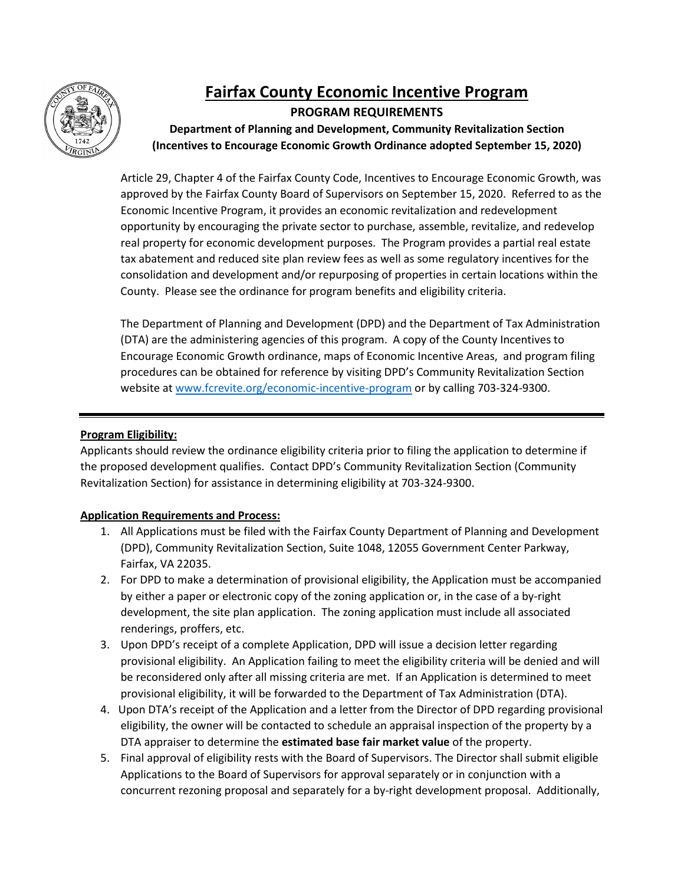

## **Fairfax County Economic Incentive Program PROGRAM REQUIREMENTS**

 **Department of Planning and Development, Community Revitalization Section (Incentives to Encourage Economic Growth Ordinance adopted September 15, 2020)** 

 approved by the Fairfax County Board of Supervisors on September 15, 2020. Referred to as the opportunity by encouraging the private sector to purchase, assemble, revitalize, and redevelop County. Please see the ordinance for program benefits and eligibility criteria. Article 29, Chapter 4 of the Fairfax County Code, Incentives to Encourage Economic Growth, was Economic Incentive Program, it provides an economic revitalization and redevelopment real property for economic development purposes. The Program provides a partial real estate tax abatement and reduced site plan review fees as well as some regulatory incentives for the consolidation and development and/or repurposing of properties in certain locations within the

 (DTA) are the administering agencies of this program. A copy of the County Incentives to Encourage Economic Growth ordinance, maps of Economic Incentive Areas, and program filing procedures can be obtained for reference by visiting DPD's Community Revitalization Section website at [www.fcrevite.org/](http://www.fcrevite.org/)economic-incentive-program or by calling 703-324-9300. The Department of Planning and Development (DPD) and the Department of Tax Administration

## **Program Eligibility:**

 Applicants should review the ordinance eligibility criteria prior to filing the application to determine if Revitalization Section) for assistance in determining eligibility at 703-324-9300. the proposed development qualifies. Contact DPD's Community Revitalization Section (Community

## **Application Requirements and Process:**

- Fairfax, VA 22035. 1. All Applications must be filed with the Fairfax County Department of Planning and Development (DPD), Community Revitalization Section, Suite 1048, 12055 Government Center Parkway,
- by either a paper or electronic copy of the zoning application or, in the case of a by-right 2. For DPD to make a determination of provisional eligibility, the Application must be accompanied development, the site plan application. The zoning application must include all associated renderings, proffers, etc.
- provisional eligibility. An Application failing to meet the eligibility criteria will be denied and will be reconsidered only after all missing criteria are met. If an Application is determined to meet provisional eligibility, it will be forwarded to the Department of Tax Administration (DTA). 3. Upon DPD's receipt of a complete Application, DPD will issue a decision letter regarding
- provisional eligibility, it will be forwarded to the Department of Tax Administration (DTA). 4. Upon DTA's receipt of the Application and a letter from the Director of DPD regarding provisional eligibility, the owner will be contacted to schedule an appraisal inspection of the property by a DTA appraiser to determine the **estimated base fair market value** of the property.
- 5. Final approval of eligibility rests with the Board of Supervisors. The Director shall submit eligible concurrent rezoning proposal and separately for a by-right development proposal. Additionally, Applications to the Board of Supervisors for approval separately or in conjunction with a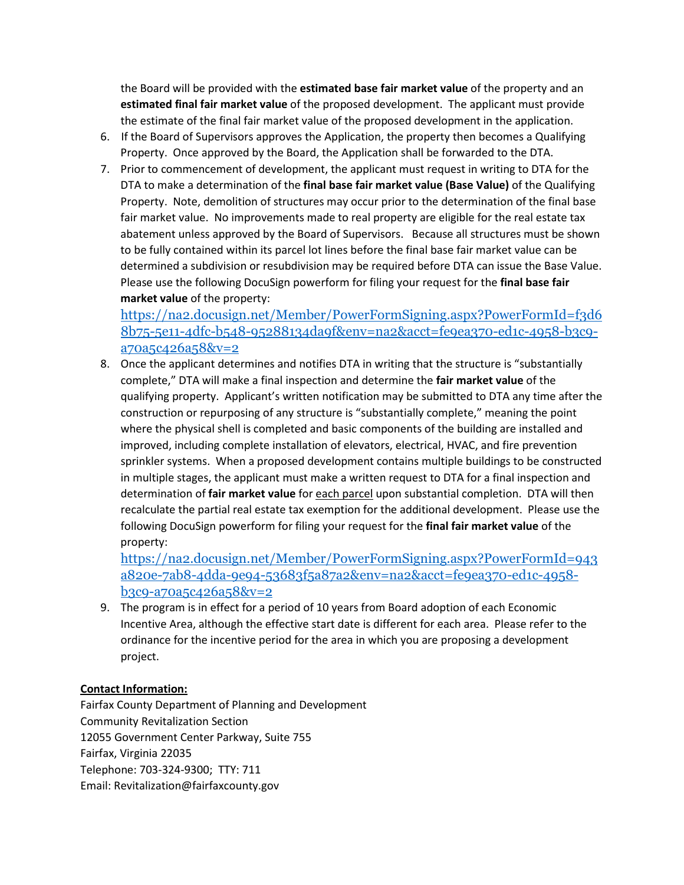the Board will be provided with the **estimated base fair market value** of the property and an the estimate of the final fair market value of the proposed development in the application. **estimated final fair market value** of the proposed development. The applicant must provide

- Property. Once approved by the Board, the Application shall be forwarded to the DTA. 6. If the Board of Supervisors approves the Application, the property then becomes a Qualifying
- 7. Prior to commencement of development, the applicant must request in writing to DTA for the DTA to make a determination of the **final base fair market value (Base Value)** of the Qualifying abatement unless approved by the Board of Supervisors. Because all structures must be shown to be fully contained within its parcel lot lines before the final base fair market value can be determined a subdivision or resubdivision may be required before DTA can issue the Base Value. determined a subdivision or resubdivision may be required before DTA can issue the Base Value.<br>Please use the following DocuSign powerform for filing your request for the **final base fair market value** of the property: Property. Note, demolition of structures may occur prior to the determination of the final base fair market value. No improvements made to real property are eligible for the real estate tax

[https://na2.docusign.net/Member/PowerFormSigning.aspx?PowerFormId=f3d6](https://gcc02.safelinks.protection.outlook.com/?url=https%3A%2F%2Fna2.docusign.net%2FMember%2FPowerFormSigning.aspx%3FPowerFormId%3Df3d68b75-5e11-4dfc-b548-95288134da9f%26env%3Dna2%26acct%3Dfe9ea370-ed1c-4958-b3c9-a70a5c426a58%26v%3D2&data=05%7C01%7CElizabeth.Hagg%40fairfaxcounty.gov%7C148190be820449f3785b08da4d697148%7Ca26156cb5d6f41729d7d934eb0a7b275%7C0%7C0%7C637907412504694540%7CUnknown%7CTWFpbGZsb3d8eyJWIjoiMC4wLjAwMDAiLCJQIjoiV2luMzIiLCJBTiI6Ik1haWwiLCJXVCI6Mn0%3D%7C3000%7C%7C%7C&sdata=X%2BQYC3pTq31ySG1snk5DHXjBG4lLMJN9zXVjjJ0web8%3D&reserved=0)  [8b75-5e11-4dfc-b548-95288134da9f&env=na2&acct=fe9ea370-ed1c-4958-b3c9](https://gcc02.safelinks.protection.outlook.com/?url=https%3A%2F%2Fna2.docusign.net%2FMember%2FPowerFormSigning.aspx%3FPowerFormId%3Df3d68b75-5e11-4dfc-b548-95288134da9f%26env%3Dna2%26acct%3Dfe9ea370-ed1c-4958-b3c9-a70a5c426a58%26v%3D2&data=05%7C01%7CElizabeth.Hagg%40fairfaxcounty.gov%7C148190be820449f3785b08da4d697148%7Ca26156cb5d6f41729d7d934eb0a7b275%7C0%7C0%7C637907412504694540%7CUnknown%7CTWFpbGZsb3d8eyJWIjoiMC4wLjAwMDAiLCJQIjoiV2luMzIiLCJBTiI6Ik1haWwiLCJXVCI6Mn0%3D%7C3000%7C%7C%7C&sdata=X%2BQYC3pTq31ySG1snk5DHXjBG4lLMJN9zXVjjJ0web8%3D&reserved=0) [a70a5c426a58&v=2](https://gcc02.safelinks.protection.outlook.com/?url=https%3A%2F%2Fna2.docusign.net%2FMember%2FPowerFormSigning.aspx%3FPowerFormId%3Df3d68b75-5e11-4dfc-b548-95288134da9f%26env%3Dna2%26acct%3Dfe9ea370-ed1c-4958-b3c9-a70a5c426a58%26v%3D2&data=05%7C01%7CElizabeth.Hagg%40fairfaxcounty.gov%7C148190be820449f3785b08da4d697148%7Ca26156cb5d6f41729d7d934eb0a7b275%7C0%7C0%7C637907412504694540%7CUnknown%7CTWFpbGZsb3d8eyJWIjoiMC4wLjAwMDAiLCJQIjoiV2luMzIiLCJBTiI6Ik1haWwiLCJXVCI6Mn0%3D%7C3000%7C%7C%7C&sdata=X%2BQYC3pTq31ySG1snk5DHXjBG4lLMJN9zXVjjJ0web8%3D&reserved=0) 

 8. Once the applicant determines and notifies DTA in writing that the structure is "substantially qualifying property. Applicant's written notification may be submitted to DTA any time after the where the physical shell is completed and basic components of the building are installed and improved, including complete installation of elevators, electrical, HVAC, and fire prevention sprinkler systems. When a proposed development contains multiple buildings to be constructed in multiple stages, the applicant must make a written request to DTA for a final inspection and determination of **fair market value** for each parcel upon substantial completion. DTA will then recalculate the partial real estate tax exemption for the additional development. Please use the following DocuSign powerform for filing your request for the **final fair market value** of the property: complete," DTA will make a final inspection and determine the **fair market value** of the construction or repurposing of any structure is "substantially complete," meaning the point

[https://na2.docusign.net/Member/PowerFormSigning.aspx?PowerFormId=943](https://gcc02.safelinks.protection.outlook.com/?url=https%3A%2F%2Fna2.docusign.net%2FMember%2FPowerFormSigning.aspx%3FPowerFormId%3D943a820e-7ab8-4dda-9e94-53683f5a87a2%26env%3Dna2%26acct%3Dfe9ea370-ed1c-4958-b3c9-a70a5c426a58%26v%3D2&data=05%7C01%7CElizabeth.Hagg%40fairfaxcounty.gov%7C148190be820449f3785b08da4d697148%7Ca26156cb5d6f41729d7d934eb0a7b275%7C0%7C0%7C637907412504694540%7CUnknown%7CTWFpbGZsb3d8eyJWIjoiMC4wLjAwMDAiLCJQIjoiV2luMzIiLCJBTiI6Ik1haWwiLCJXVCI6Mn0%3D%7C3000%7C%7C%7C&sdata=itb1kcAPo5Uy5%2FoVqq7TNn%2BSryoWiQQkrJPqnp2b1Sc%3D&reserved=0)  [a820e-7ab8-4dda-9e94-53683f5a87a2&env=na2&acct=fe9ea370-ed1c-4958](https://gcc02.safelinks.protection.outlook.com/?url=https%3A%2F%2Fna2.docusign.net%2FMember%2FPowerFormSigning.aspx%3FPowerFormId%3D943a820e-7ab8-4dda-9e94-53683f5a87a2%26env%3Dna2%26acct%3Dfe9ea370-ed1c-4958-b3c9-a70a5c426a58%26v%3D2&data=05%7C01%7CElizabeth.Hagg%40fairfaxcounty.gov%7C148190be820449f3785b08da4d697148%7Ca26156cb5d6f41729d7d934eb0a7b275%7C0%7C0%7C637907412504694540%7CUnknown%7CTWFpbGZsb3d8eyJWIjoiMC4wLjAwMDAiLCJQIjoiV2luMzIiLCJBTiI6Ik1haWwiLCJXVCI6Mn0%3D%7C3000%7C%7C%7C&sdata=itb1kcAPo5Uy5%2FoVqq7TNn%2BSryoWiQQkrJPqnp2b1Sc%3D&reserved=0) [b3c9-a70a5c426a58&v=2](https://gcc02.safelinks.protection.outlook.com/?url=https%3A%2F%2Fna2.docusign.net%2FMember%2FPowerFormSigning.aspx%3FPowerFormId%3D943a820e-7ab8-4dda-9e94-53683f5a87a2%26env%3Dna2%26acct%3Dfe9ea370-ed1c-4958-b3c9-a70a5c426a58%26v%3D2&data=05%7C01%7CElizabeth.Hagg%40fairfaxcounty.gov%7C148190be820449f3785b08da4d697148%7Ca26156cb5d6f41729d7d934eb0a7b275%7C0%7C0%7C637907412504694540%7CUnknown%7CTWFpbGZsb3d8eyJWIjoiMC4wLjAwMDAiLCJQIjoiV2luMzIiLCJBTiI6Ik1haWwiLCJXVCI6Mn0%3D%7C3000%7C%7C%7C&sdata=itb1kcAPo5Uy5%2FoVqq7TNn%2BSryoWiQQkrJPqnp2b1Sc%3D&reserved=0) 

 Incentive Area, although the effective start date is different for each area. Please refer to the 9. The program is in effect for a period of 10 years from Board adoption of each Economic ordinance for the incentive period for the area in which you are proposing a development project.

## **Contact Information:**

Telephone: 703-324-9300; TTY: 711 Fairfax County Department of Planning and Development Community Revitalization Section 12055 Government Center Parkway, Suite 755 Fairfax, Virginia 22035 Email: Revitalization@fairfaxcounty.gov